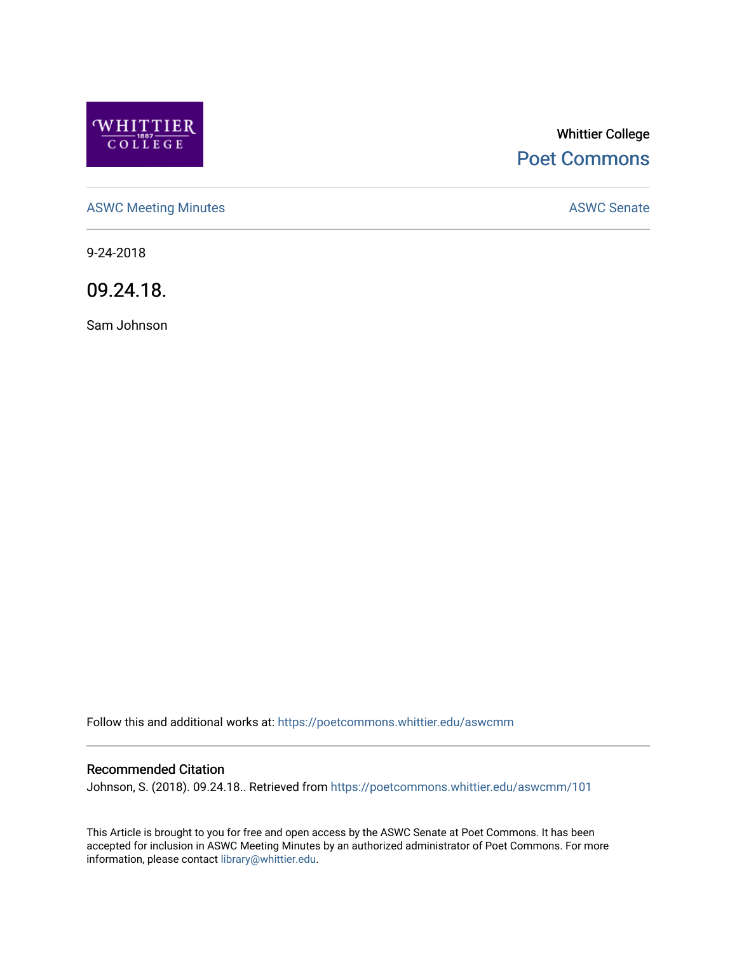

# Whittier College [Poet Commons](https://poetcommons.whittier.edu/)

[ASWC Meeting Minutes](https://poetcommons.whittier.edu/aswcmm) **ASWC Senate** 

9-24-2018

09.24.18.

Sam Johnson

Follow this and additional works at: [https://poetcommons.whittier.edu/aswcmm](https://poetcommons.whittier.edu/aswcmm?utm_source=poetcommons.whittier.edu%2Faswcmm%2F101&utm_medium=PDF&utm_campaign=PDFCoverPages)

#### Recommended Citation

Johnson, S. (2018). 09.24.18.. Retrieved from [https://poetcommons.whittier.edu/aswcmm/101](https://poetcommons.whittier.edu/aswcmm/101?utm_source=poetcommons.whittier.edu%2Faswcmm%2F101&utm_medium=PDF&utm_campaign=PDFCoverPages)

This Article is brought to you for free and open access by the ASWC Senate at Poet Commons. It has been accepted for inclusion in ASWC Meeting Minutes by an authorized administrator of Poet Commons. For more information, please contact [library@whittier.edu.](mailto:library@whittier.edu)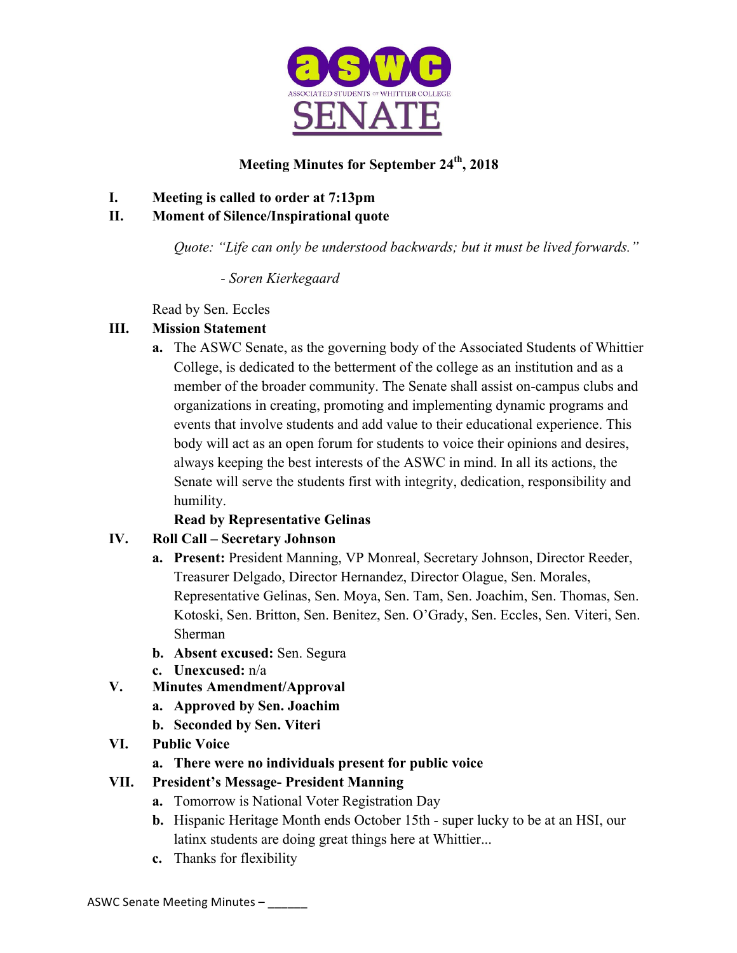

# **Meeting Minutes for September 24th, 2018**

### **I. Meeting is called to order at 7:13pm**

### **II. Moment of Silence/Inspirational quote**

*Quote: "Life can only be understood backwards; but it must be lived forwards."*

*- Soren Kierkegaard* 

Read by Sen. Eccles

# **III. Mission Statement**

**a.** The ASWC Senate, as the governing body of the Associated Students of Whittier College, is dedicated to the betterment of the college as an institution and as a member of the broader community. The Senate shall assist on-campus clubs and organizations in creating, promoting and implementing dynamic programs and events that involve students and add value to their educational experience. This body will act as an open forum for students to voice their opinions and desires, always keeping the best interests of the ASWC in mind. In all its actions, the Senate will serve the students first with integrity, dedication, responsibility and humility.

# **Read by Representative Gelinas**

# **IV. Roll Call – Secretary Johnson**

- **a. Present:** President Manning, VP Monreal, Secretary Johnson, Director Reeder, Treasurer Delgado, Director Hernandez, Director Olague, Sen. Morales, Representative Gelinas, Sen. Moya, Sen. Tam, Sen. Joachim, Sen. Thomas, Sen. Kotoski, Sen. Britton, Sen. Benitez, Sen. O'Grady, Sen. Eccles, Sen. Viteri, Sen. Sherman
- **b. Absent excused:** Sen. Segura
- **c. Unexcused:** n/a
- **V. Minutes Amendment/Approval**
	- **a. Approved by Sen. Joachim**
	- **b. Seconded by Sen. Viteri**
- **VI. Public Voice**
	- **a. There were no individuals present for public voice**

# **VII. President's Message- President Manning**

- **a.** Tomorrow is National Voter Registration Day
- **b.** Hispanic Heritage Month ends October 15th super lucky to be at an HSI, our latinx students are doing great things here at Whittier...
- **c.** Thanks for flexibility

ASWC Senate Meeting Minutes -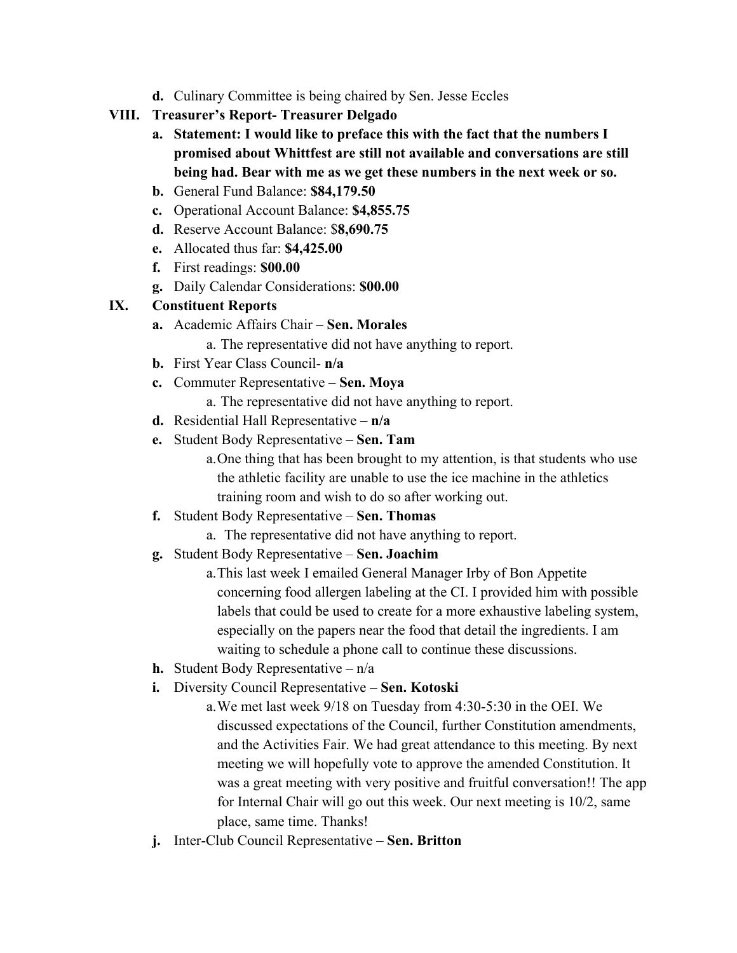- **d.** Culinary Committee is being chaired by Sen. Jesse Eccles
- **VIII. Treasurer's Report- Treasurer Delgado**
	- **a. Statement: I would like to preface this with the fact that the numbers I promised about Whittfest are still not available and conversations are still being had. Bear with me as we get these numbers in the next week or so.**
	- **b.** General Fund Balance: **\$84,179.50**
	- **c.** Operational Account Balance: **\$4,855.75**
	- **d.** Reserve Account Balance: \$**8,690.75**
	- **e.** Allocated thus far: **\$4,425.00**
	- **f.** First readings: **\$00.00**
	- **g.** Daily Calendar Considerations: **\$00.00**

# **IX. Constituent Reports**

**a.** Academic Affairs Chair – **Sen. Morales**

a. The representative did not have anything to report.

- **b.** First Year Class Council- **n/a**
- **c.** Commuter Representative **Sen. Moya**
	- a. The representative did not have anything to report.
- **d.** Residential Hall Representative **n/a**
- **e.** Student Body Representative **Sen. Tam**
	- a.One thing that has been brought to my attention, is that students who use the athletic facility are unable to use the ice machine in the athletics training room and wish to do so after working out.
- **f.** Student Body Representative **Sen. Thomas**
	- a. The representative did not have anything to report.
- **g.** Student Body Representative **Sen. Joachim**
	- a.This last week I emailed General Manager Irby of Bon Appetite concerning food allergen labeling at the CI. I provided him with possible labels that could be used to create for a more exhaustive labeling system, especially on the papers near the food that detail the ingredients. I am waiting to schedule a phone call to continue these discussions.
- **h.** Student Body Representative n/a
- **i.** Diversity Council Representative **Sen. Kotoski**
	- a.We met last week 9/18 on Tuesday from 4:30-5:30 in the OEI. We discussed expectations of the Council, further Constitution amendments, and the Activities Fair. We had great attendance to this meeting. By next meeting we will hopefully vote to approve the amended Constitution. It was a great meeting with very positive and fruitful conversation!! The app for Internal Chair will go out this week. Our next meeting is 10/2, same place, same time. Thanks!
- **j.** Inter-Club Council Representative **Sen. Britton**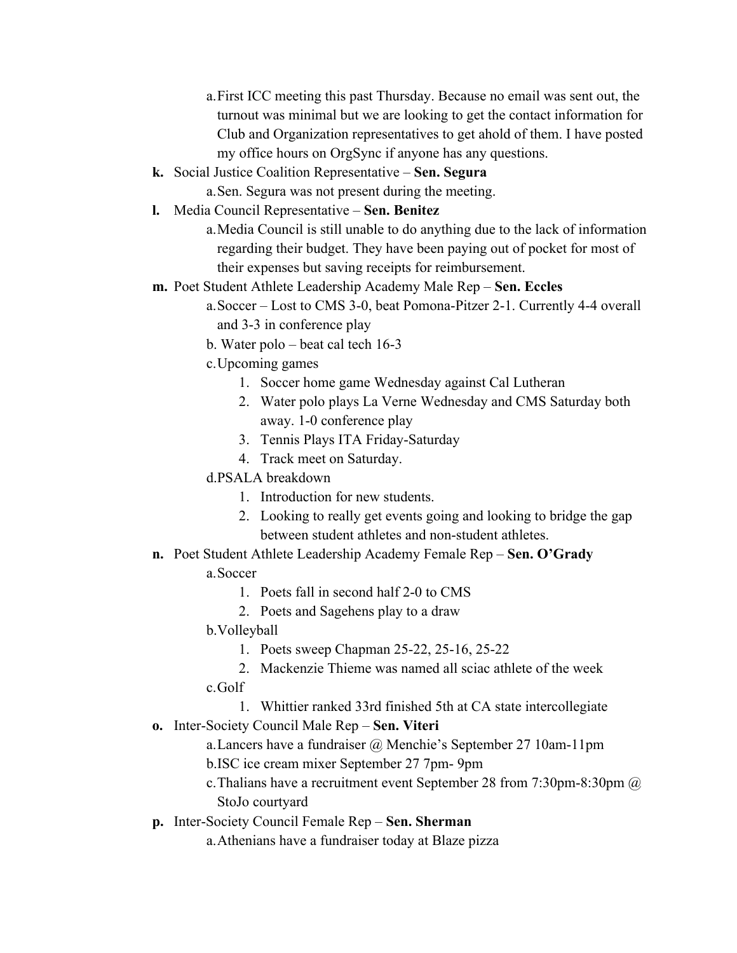- a.First ICC meeting this past Thursday. Because no email was sent out, the turnout was minimal but we are looking to get the contact information for Club and Organization representatives to get ahold of them. I have posted my office hours on OrgSync if anyone has any questions.
- **k.** Social Justice Coalition Representative **Sen. Segura**
	- a.Sen. Segura was not present during the meeting.
- **l.** Media Council Representative **Sen. Benitez** 
	- a.Media Council is still unable to do anything due to the lack of information regarding their budget. They have been paying out of pocket for most of their expenses but saving receipts for reimbursement.
- **m.** Poet Student Athlete Leadership Academy Male Rep **Sen. Eccles**
	- a.Soccer Lost to CMS 3-0, beat Pomona-Pitzer 2-1. Currently 4-4 overall and 3-3 in conference play
	- b. Water polo beat cal tech 16-3
	- c.Upcoming games
		- 1. Soccer home game Wednesday against Cal Lutheran
		- 2. Water polo plays La Verne Wednesday and CMS Saturday both away. 1-0 conference play
		- 3. Tennis Plays ITA Friday-Saturday
		- 4. Track meet on Saturday.
	- d.PSALA breakdown
		- 1. Introduction for new students.
		- 2. Looking to really get events going and looking to bridge the gap between student athletes and non-student athletes.
- **n.** Poet Student Athlete Leadership Academy Female Rep **Sen. O'Grady** 
	- a.Soccer
		- 1. Poets fall in second half 2-0 to CMS
		- 2. Poets and Sagehens play to a draw
	- b.Volleyball
		- 1. Poets sweep Chapman 25-22, 25-16, 25-22
	- 2. Mackenzie Thieme was named all sciac athlete of the week c.Golf
		- 1. Whittier ranked 33rd finished 5th at CA state intercollegiate
- **o.** Inter-Society Council Male Rep **Sen. Viteri** 
	- a.Lancers have a fundraiser @ Menchie's September 27 10am-11pm b.ISC ice cream mixer September 27 7pm- 9pm
	- c.Thalians have a recruitment event September 28 from 7:30pm-8:30pm @ StoJo courtyard
- **p.** Inter-Society Council Female Rep **Sen. Sherman** 
	- a.Athenians have a fundraiser today at Blaze pizza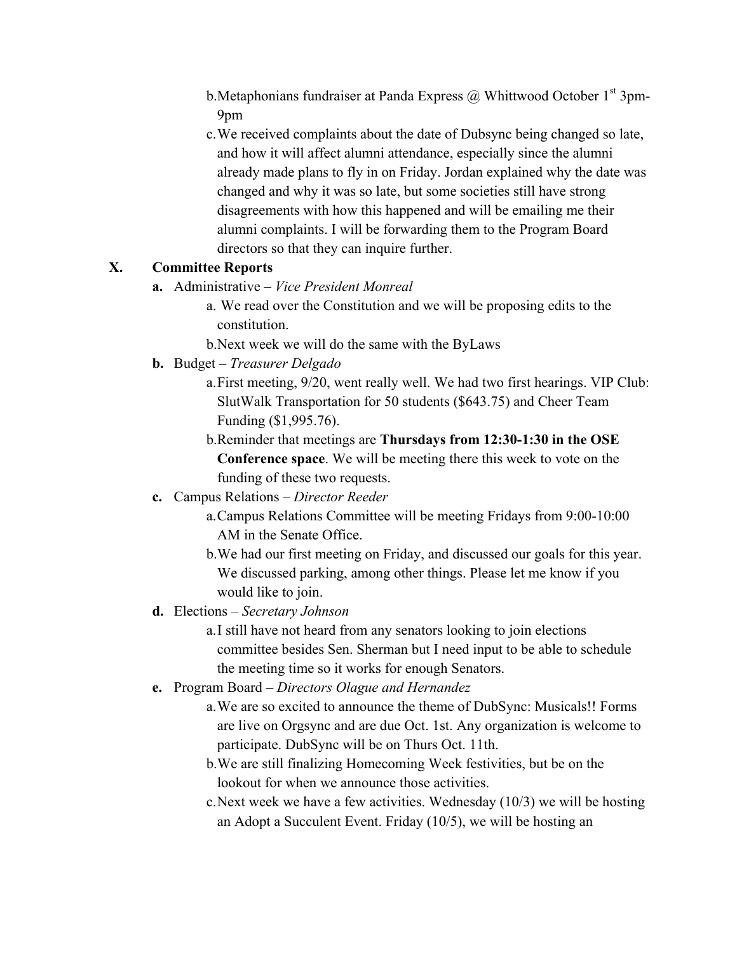- b. Metaphonians fundraiser at Panda Express  $\omega$  Whittwood October 1<sup>st</sup> 3pm-9pm
- c.We received complaints about the date of Dubsync being changed so late, and how it will affect alumni attendance, especially since the alumni already made plans to fly in on Friday. Jordan explained why the date was changed and why it was so late, but some societies still have strong disagreements with how this happened and will be emailing me their alumni complaints. I will be forwarding them to the Program Board directors so that they can inquire further.

### **X. Committee Reports**

- **a.** Administrative *Vice President Monreal*
	- a. We read over the Constitution and we will be proposing edits to the constitution.

b.Next week we will do the same with the ByLaws

- **b.** Budget *Treasurer Delgado*
	- a.First meeting, 9/20, went really well. We had two first hearings. VIP Club: SlutWalk Transportation for 50 students (\$643.75) and Cheer Team Funding (\$1,995.76).
	- b.Reminder that meetings are **Thursdays from 12:30-1:30 in the OSE Conference space**. We will be meeting there this week to vote on the funding of these two requests.
- **c.** Campus Relations *Director Reeder*
	- a.Campus Relations Committee will be meeting Fridays from 9:00-10:00 AM in the Senate Office.
	- b.We had our first meeting on Friday, and discussed our goals for this year. We discussed parking, among other things. Please let me know if you would like to join.
- **d.** Elections *Secretary Johnson*
	- a.I still have not heard from any senators looking to join elections committee besides Sen. Sherman but I need input to be able to schedule the meeting time so it works for enough Senators.
- **e.** Program Board *Directors Olague and Hernandez* 
	- a.We are so excited to announce the theme of DubSync: Musicals!! Forms are live on Orgsync and are due Oct. 1st. Any organization is welcome to participate. DubSync will be on Thurs Oct. 11th.
	- b.We are still finalizing Homecoming Week festivities, but be on the lookout for when we announce those activities.
	- c.Next week we have a few activities. Wednesday (10/3) we will be hosting an Adopt a Succulent Event. Friday (10/5), we will be hosting an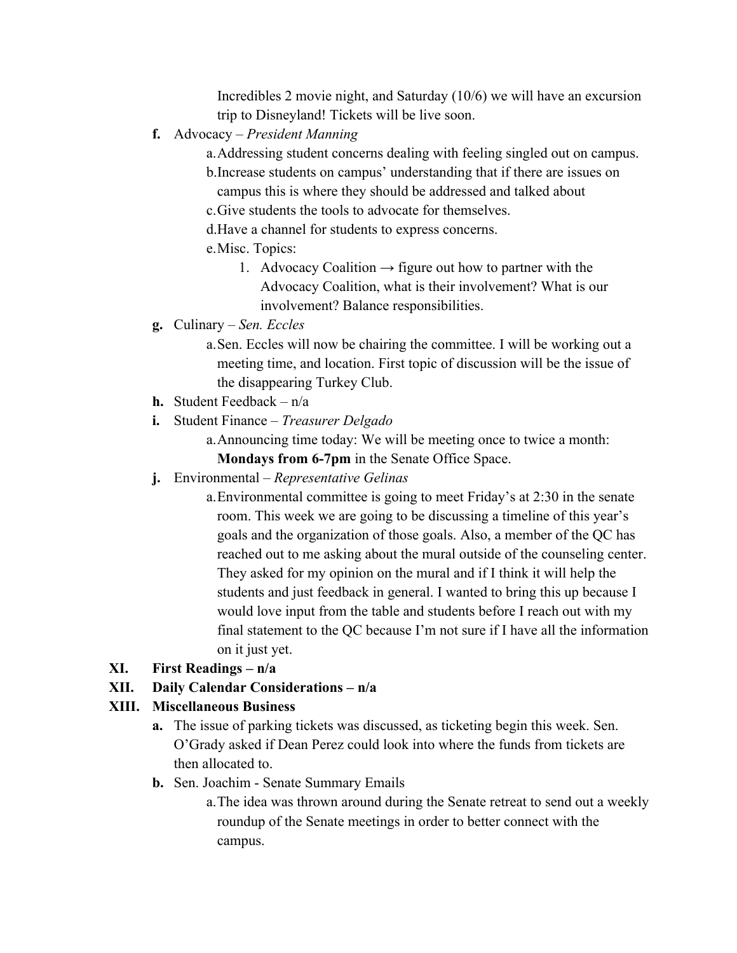Incredibles 2 movie night, and Saturday (10/6) we will have an excursion trip to Disneyland! Tickets will be live soon.

- **f.** Advocacy *President Manning* 
	- a.Addressing student concerns dealing with feeling singled out on campus. b.Increase students on campus' understanding that if there are issues on campus this is where they should be addressed and talked about
	- c.Give students the tools to advocate for themselves.
	- d.Have a channel for students to express concerns.
	- e.Misc. Topics:
		- 1. Advocacy Coalition  $\rightarrow$  figure out how to partner with the Advocacy Coalition, what is their involvement? What is our involvement? Balance responsibilities.
- **g.** Culinary *Sen. Eccles* 
	- a.Sen. Eccles will now be chairing the committee. I will be working out a meeting time, and location. First topic of discussion will be the issue of the disappearing Turkey Club.
- **h.** Student Feedback n/a
- **i.** Student Finance *Treasurer Delgado* 
	- a.Announcing time today: We will be meeting once to twice a month: **Mondays from 6-7pm** in the Senate Office Space.
- **j.** Environmental *Representative Gelinas*
	- a.Environmental committee is going to meet Friday's at 2:30 in the senate room. This week we are going to be discussing a timeline of this year's goals and the organization of those goals. Also, a member of the QC has reached out to me asking about the mural outside of the counseling center. They asked for my opinion on the mural and if I think it will help the students and just feedback in general. I wanted to bring this up because I would love input from the table and students before I reach out with my final statement to the QC because I'm not sure if I have all the information on it just yet.
- **XI. First Readings – n/a**
- **XII. Daily Calendar Considerations – n/a**

### **XIII. Miscellaneous Business**

- **a.** The issue of parking tickets was discussed, as ticketing begin this week. Sen. O'Grady asked if Dean Perez could look into where the funds from tickets are then allocated to.
- **b.** Sen. Joachim Senate Summary Emails
	- a.The idea was thrown around during the Senate retreat to send out a weekly roundup of the Senate meetings in order to better connect with the campus.